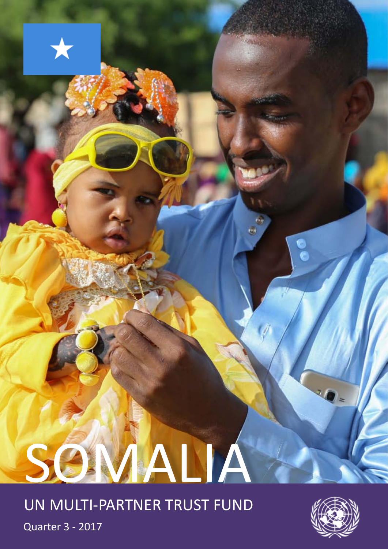# SOMALIA

UN MULTI-PARTNER TRUST FUND



Quarter 3 - 2017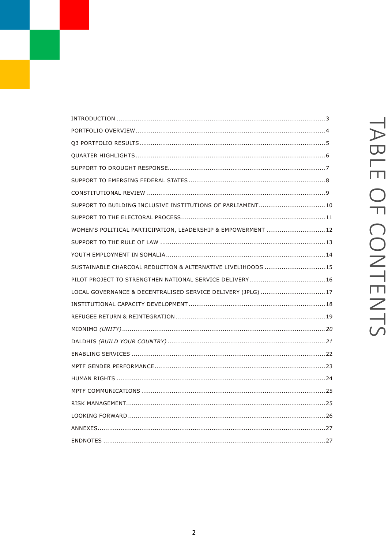| SUPPORT TO BUILDING INCLUSIVE INSTITUTIONS OF PARLIAMENT 10   |
|---------------------------------------------------------------|
|                                                               |
| WOMEN'S POLITICAL PARTICIPATION, LEADERSHIP & EMPOWERMENT  12 |
|                                                               |
|                                                               |
| SUSTAINABLE CHARCOAL REDUCTION & ALTERNATIVE LIVELIHOODS  15  |
|                                                               |
| LOCAL GOVERNANCE & DECENTRALISED SERVICE DELIVERY (JPLG) 17   |
|                                                               |
|                                                               |
|                                                               |
|                                                               |
|                                                               |
|                                                               |
|                                                               |
|                                                               |
|                                                               |
|                                                               |
|                                                               |
|                                                               |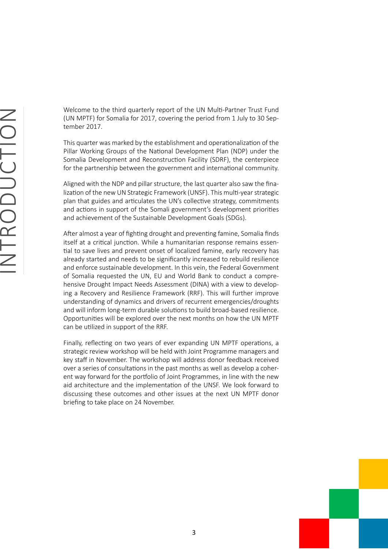<span id="page-2-0"></span>Welcome to the third quarterly report of the UN Multi-Partner Trust Fund (UN MPTF) for Somalia for 2017, covering the period from 1 July to 30 September 2017.

This quarter was marked by the establishment and operationalization of the Pillar Working Groups of the National Development Plan (NDP) under the Somalia Development and Reconstruction Facility (SDRF), the centerpiece for the partnership between the government and international community.

Aligned with the NDP and pillar structure, the last quarter also saw the finalization of the new UN Strategic Framework (UNSF). This multi-year strategic plan that guides and articulates the UN's collective strategy, commitments and actions in support of the Somali government's development priorities and achievement of the Sustainable Development Goals (SDGs).

After almost a year of fighting drought and preventing famine, Somalia finds itself at a critical junction. While a humanitarian response remains essential to save lives and prevent onset of localized famine, early recovery has already started and needs to be significantly increased to rebuild resilience and enforce sustainable development. In this vein, the Federal Government of Somalia requested the UN, EU and World Bank to conduct a comprehensive Drought Impact Needs Assessment (DINA) with a view to developing a Recovery and Resilience Framework (RRF). This will further improve understanding of dynamics and drivers of recurrent emergencies/droughts and will inform long-term durable solutions to build broad-based resilience. Opportunities will be explored over the next months on how the UN MPTF can be utilized in support of the RRF.

Finally, reflecting on two years of ever expanding UN MPTF operations, a strategic review workshop will be held with Joint Programme managers and key staff in November. The workshop will address donor feedback received over a series of consultations in the past months as well as develop a coherent way forward for the portfolio of Joint Programmes, in line with the new aid architecture and the implementation of the UNSF. We look forward to discussing these outcomes and other issues at the next UN MPTF donor briefing to take place on 24 November.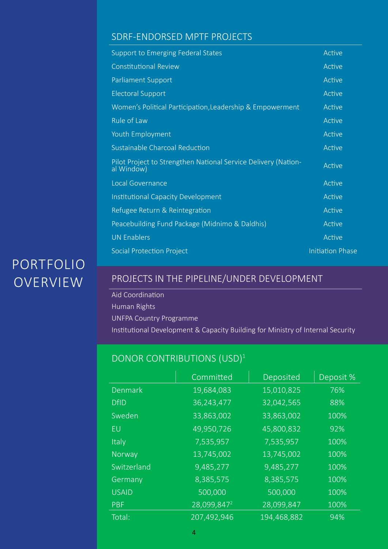## <span id="page-3-0"></span>SDRF-ENDORSED MPTF PROJECTS

| <b>Support to Emerging Federal States</b>                                    | Active                  |
|------------------------------------------------------------------------------|-------------------------|
| <b>Constitutional Review</b>                                                 | Active                  |
| Parliament Support                                                           | Active                  |
| <b>Electoral Support</b>                                                     | Active                  |
| Women's Political Participation, Leadership & Empowerment                    | Active                  |
| <b>Rule of Law</b>                                                           | Active                  |
| Youth Employment                                                             | Active                  |
| Sustainable Charcoal Reduction                                               | Active                  |
| Pilot Project to Strengthen National Service Delivery (Nation-<br>al Window) | Active                  |
| Local Governance                                                             | Active                  |
| <b>Institutional Capacity Development</b>                                    | Active                  |
| Refugee Return & Reintegration                                               | Active                  |
| Peacebuilding Fund Package (Midnimo & Daldhis)                               | Active                  |
| <b>UN Enablers</b>                                                           | Active                  |
| <b>Social Protection Project</b>                                             | <b>Initiation Phase</b> |

# **PORTFOLIO OVERVIEW**

# PROJECTS IN THE PIPELINE/UNDER DEVELOPMENT

Aid Coordination Human Rights UNFPA Country Programme Institutional Development & Capacity Building for Ministry of Internal Security

# DONOR CONTRIBUTIONS (USD)<sup>1</sup>

|                | Committed               | Deposited   | Deposit % |
|----------------|-------------------------|-------------|-----------|
| <b>Denmark</b> | 19,684,083              | 15,010,825  | 76%       |
| <b>DfID</b>    | 36,243,477              | 32,042,565  | 88%       |
| Sweden         | 33,863,002              | 33,863,002  | 100%      |
| EU             | 49,950,726              | 45,800,832  | 92%       |
| <b>Italy</b>   | 7,535,957               | 7,535,957   | 100%      |
| Norway         | 13,745,002              | 13,745,002  | 100%      |
| Switzerland    | 9,485,277               | 9,485,277   | 100%      |
| Germany        | 8,385,575               | 8,385,575   | 100%      |
| <b>USAID</b>   | 500,000                 | 500,000     | 100%      |
| <b>PBF</b>     | 28,099,847 <sup>2</sup> | 28,099,847  | 100%      |
| Total:         | 207,492,946             | 194,468,882 | 94%       |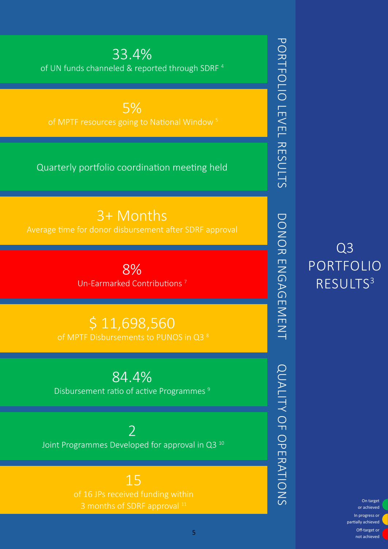or achieved In progress or partially achieved Off-target or not achieved

Q3

portfolio

results3

<span id="page-4-0"></span>33.4% of UN funds channeled & reported through SDRF 4

5% of MPTF resources going to National Window 5

Quarterly portfolio coordination meeting held

3+ Months Average time for donor disbursement after SDRF approval

> 8% Un-Earmarked Contributions 7

\$ 11,698,560

84.4% Disbursement ratio of active Programmes<sup>9</sup>

 $\overline{\phantom{a}}$ Joint Programmes Developed for approval in Q3 10

> 15 3 months of SDRF approval  $11$   $\overline{O}$  on target

> > 5

PORTFOLIO LEVEL RESULTS Portfolio Level Results DONOR ENGAGEMENT Donor Engagement QUALITY OF OPERATIONS of Operations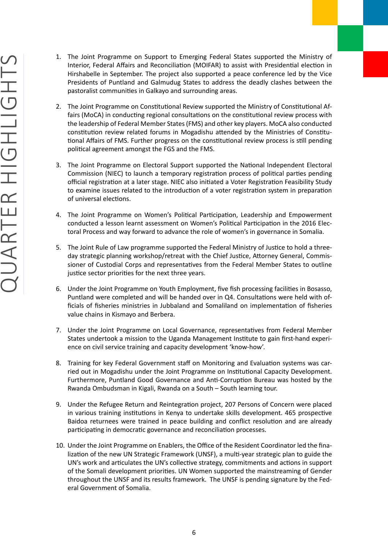- <span id="page-5-0"></span>1. The Joint Programme on Support to Emerging Federal States supported the Ministry of Interior, Federal Affairs and Reconciliation (MOIFAR) to assist with Presidential election in Hirshabelle in September. The project also supported a peace conference led by the Vice Presidents of Puntland and Galmudug States to address the deadly clashes between the pastoralist communities in Galkayo and surrounding areas.
- 2. The Joint Programme on Constitutional Review supported the Ministry of Constitutional Affairs (MoCA) in conducting regional consultations on the constitutional review process with the leadership of Federal Member States (FMS) and other key players. MoCA also conducted constitution review related forums in Mogadishu attended by the Ministries of Constitutional Affairs of FMS. Further progress on the constitutional review process is still pending political agreement amongst the FGS and the FMS.
- 3. The Joint Programme on Electoral Support supported the National Independent Electoral Commission (NIEC) to launch a temporary registration process of political parties pending official registration at a later stage. NIEC also initiated a Voter Registration Feasibility Study to examine issues related to the introduction of a voter registration system in preparation of universal elections.
- 4. The Joint Programme on Women's Political Participation, Leadership and Empowerment conducted a lesson learnt assessment on Women's Political Participation in the 2016 Electoral Process and way forward to advance the role of women's in governance in Somalia.
- 5. The Joint Rule of Law programme supported the Federal Ministry of Justice to hold a threeday strategic planning workshop/retreat with the Chief Justice, Attorney General, Commissioner of Custodial Corps and representatives from the Federal Member States to outline justice sector priorities for the next three years.
- 6. Under the Joint Programme on Youth Employment, five fish processing facilities in Bosasso, Puntland were completed and will be handed over in Q4. Consultations were held with officials of fisheries ministries in Jubbaland and Somaliland on implementation of fisheries value chains in Kismayo and Berbera.
- 7. Under the Joint Programme on Local Governance, representatives from Federal Member States undertook a mission to the Uganda Management Institute to gain first-hand experience on civil service training and capacity development 'know-how'.
- 8. Training for key Federal Government staff on Monitoring and Evaluation systems was carried out in Mogadishu under the Joint Programme on Institutional Capacity Development. Furthermore, Puntland Good Governance and Anti-Corruption Bureau was hosted by the Rwanda Ombudsman in Kigali, Rwanda on a South – South learning tour.
- 9. Under the Refugee Return and Reintegration project, 207 Persons of Concern were placed in various training institutions in Kenya to undertake skills development. 465 prospective Baidoa returnees were trained in peace building and conflict resolution and are already participating in democratic governance and reconciliation processes.
- 10. Under the Joint Programme on Enablers, the Office of the Resident Coordinator led the finalization of the new UN Strategic Framework (UNSF), a multi-year strategic plan to guide the UN's work and articulates the UN's collective strategy, commitments and actions in support of the Somali development priorities. UN Women supported the mainstreaming of Gender throughout the UNSF and its results framework. The UNSF is pending signature by the Federal Government of Somalia.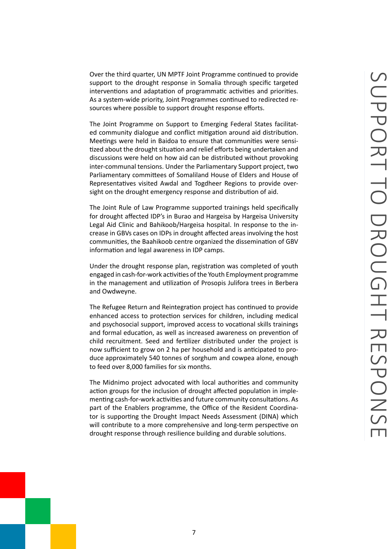<span id="page-6-0"></span>Over the third quarter, UN MPTF Joint Programme continued to provide support to the drought response in Somalia through specific targeted interventions and adaptation of programmatic activities and priorities. As a system-wide priority, Joint Programmes continued to redirected resources where possible to support drought response efforts.

The Joint Programme on Support to Emerging Federal States facilitated community dialogue and conflict mitigation around aid distribution. Meetings were held in Baidoa to ensure that communities were sensitized about the drought situation and relief efforts being undertaken and discussions were held on how aid can be distributed without provoking inter-communal tensions. Under the Parliamentary Support project, two Parliamentary committees of Somaliland House of Elders and House of Representatives visited Awdal and Togdheer Regions to provide oversight on the drought emergency response and distribution of aid.

The Joint Rule of Law Programme supported trainings held specifically for drought affected IDP's in Burao and Hargeisa by Hargeisa University Legal Aid Clinic and Bahikoob/Hargeisa hospital. In response to the increase in GBVs cases on IDPs in drought affected areas involving the host communities, the Baahikoob centre organized the dissemination of GBV information and legal awareness in IDP camps.

Under the drought response plan, registration was completed of youth engaged in cash-for-work activities of the Youth Employment programme in the management and utilization of Prosopis Julifora trees in Berbera and Owdweyne.

The Refugee Return and Reintegration project has continued to provide enhanced access to protection services for children, including medical and psychosocial support, improved access to vocational skills trainings and formal education, as well as increased awareness on prevention of child recruitment. Seed and fertilizer distributed under the project is now sufficient to grow on 2 ha per household and is anticipated to produce approximately 540 tonnes of sorghum and cowpea alone, enough to feed over 8,000 families for six months.

The Midnimo project advocated with local authorities and community action groups for the inclusion of drought affected population in implementing cash-for-work activities and future community consultations. As part of the Enablers programme, the Office of the Resident Coordinator is supporting the Drought Impact Needs Assessment (DINA) which will contribute to a more comprehensive and long-term perspective on drought response through resilience building and durable solutions.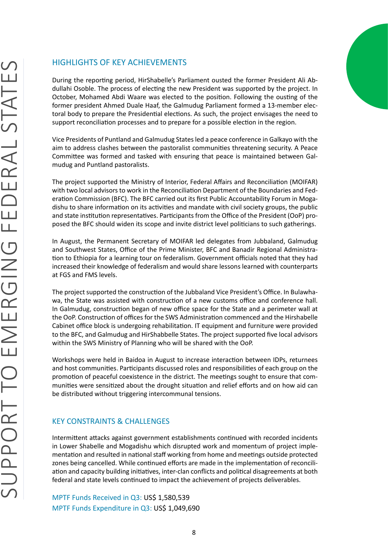<span id="page-7-0"></span>During the reporting period, HirShabelle's Parliament ousted the former President Ali Abdullahi Osoble. The process of electing the new President was supported by the project. In October, Mohamed Abdi Waare was elected to the position. Following the ousting of the former president Ahmed Duale Haaf, the Galmudug Parliament formed a 13-member electoral body to prepare the Presidential elections. As such, the project envisages the need to support reconciliation processes and to prepare for a possible election in the region.

Vice Presidents of Puntland and Galmudug States led a peace conference in Galkayo with the aim to address clashes between the pastoralist communities threatening security. A Peace Committee was formed and tasked with ensuring that peace is maintained between Galmudug and Puntland pastoralists.

The project supported the Ministry of Interior, Federal Affairs and Reconciliation (MOIFAR) with two local advisors to work in the Reconciliation Department of the Boundaries and Federation Commission (BFC). The BFC carried out its first Public Accountability Forum in Mogadishu to share information on its activities and mandate with civil society groups, the public and state institution representatives. Participants from the Office of the President (OoP) proposed the BFC should widen its scope and invite district level politicians to such gatherings.

In August, the Permanent Secretary of MOIFAR led delegates from Jubbaland, Galmudug and Southwest States, Office of the Prime Minister, BFC and Banadir Regional Administration to Ethiopia for a learning tour on federalism. Government officials noted that they had increased their knowledge of federalism and would share lessons learned with counterparts at FGS and FMS levels.

The project supported the construction of the Jubbaland Vice President's Office. In Bulawhawa, the State was assisted with construction of a new customs office and conference hall. In Galmudug, construction began of new office space for the State and a perimeter wall at the OoP. Construction of offices for the SWS Administration commenced and the Hirshabelle Cabinet office block is undergoing rehabilitation. IT equipment and furniture were provided to the BFC, and Galmudug and HirShabbelle States. The project supported five local advisors within the SWS Ministry of Planning who will be shared with the OoP.

Workshops were held in Baidoa in August to increase interaction between IDPs, returnees and host communities. Participants discussed roles and responsibilities of each group on the promotion of peaceful coexistence in the district. The meetings sought to ensure that communities were sensitized about the drought situation and relief efforts and on how aid can be distributed without triggering intercommunal tensions.

### KEY CONSTRAINTS & CHALLENGES

Intermittent attacks against government establishments continued with recorded incidents in Lower Shabelle and Mogadishu which disrupted work and momentum of project implementation and resulted in national staff working from home and meetings outside protected zones being cancelled. While continued efforts are made in the implementation of reconciliation and capacity building initiatives, inter-clan conflicts and political disagreements at both federal and state levels continued to impact the achievement of projects deliverables.

MPTF Funds Received in Q3: US\$ 1,580,539 MPTF Funds Expenditure in Q3: US\$ 1,049,690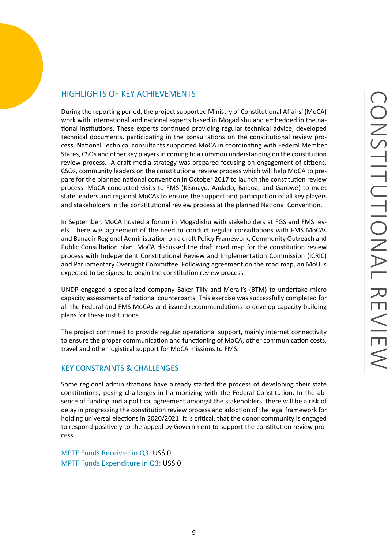<span id="page-8-0"></span>During the reporting period, the project supported Ministry of Constitutional Affairs' (MoCA) work with international and national experts based in Mogadishu and embedded in the national institutions. These experts continued providing regular technical advice, developed technical documents, participating in the consultations on the constitutional review process. National Technical consultants supported MoCA in coordinating with Federal Member States, CSOs and other key players in coming to a common understanding on the constitution review process. A draft media strategy was prepared focusing on engagement of citizens, CSOs, community leaders on the constitutional review process which will help MoCA to prepare for the planned national convention in October 2017 to launch the constitution review process. MoCA conducted visits to FMS (Kismayo, Aadado, Baidoa, and Garowe) to meet state leaders and regional MoCAs to ensure the support and participation of all key players and stakeholders in the constitutional review process at the planned National Convention.

In September, MoCA hosted a forum in Mogadishu with stakeholders at FGS and FMS levels. There was agreement of the need to conduct regular consultations with FMS MoCAs and Banadir Regional Administration on a draft Policy Framework, Community Outreach and Public Consultation plan. MoCA discussed the draft road map for the constitution review process with Independent Constitutional Review and Implementation Commission (ICRIC) and Parliamentary Oversight Committee. Following agreement on the road map, an MoU is expected to be signed to begin the constitution review process.

UNDP engaged a specialized company Baker Tilly and Merali's (BTM) to undertake micro capacity assessments of national counterparts. This exercise was successfully completed for all the Federal and FMS MoCAs and issued recommendations to develop capacity building plans for these institutions.

The project continued to provide regular operational support, mainly internet connectivity to ensure the proper communication and functioning of MoCA, other communication costs, travel and other logistical support for MoCA missions to FMS.

### KEY CONSTRAINTS & CHALLENGES

Some regional administrations have already started the process of developing their state constitutions, posing challenges in harmonizing with the Federal Constitution. In the absence of funding and a political agreement amongst the stakeholders, there will be a risk of delay in progressing the constitution review process and adoption of the legal framework for holding universal elections in 2020/2021. It is critical, that the donor community is engaged to respond positively to the appeal by Government to support the constitution review process.

MPTF Funds Received in Q3: US\$ 0 MPTF Funds Expenditure in Q3: US\$ 0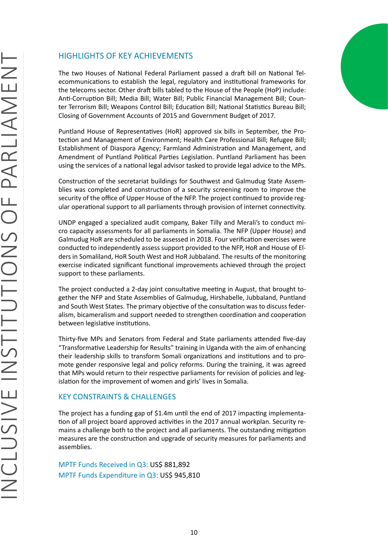<span id="page-9-0"></span>The two Houses of National Federal Parliament passed a draft bill on National Telecommunications to establish the legal, regulatory and institutional frameworks for the telecoms sector. Other draft bills tabled to the House of the People (HoP) include: Anti-Corruption Bill; Media Bill; Water Bill; Public Financial Management Bill; Counter Terrorism Bill; Weapons Control Bill; Education Bill; National Statistics Bureau Bill; Closing of Government Accounts of 2015 and Government Budget of 2017.

Puntland House of Representatives (HoR) approved six bills in September, the Protection and Management of Environment; Health Care Professional Bill; Refugee Bill; Establishment of Diaspora Agency; Farmland Administration and Management, and Amendment of Puntland Political Parties Legislation. Puntland Parliament has been using the services of a national legal advisor tasked to provide legal advice to the MPs.

Construction of the secretariat buildings for Southwest and Galmudug State Assemblies was completed and construction of a security screening room to improve the security of the office of Upper House of the NFP. The project continued to provide regular operational support to all parliaments through provision of internet connectivity.

UNDP engaged a specialized audit company, Baker Tilly and Merali's to conduct micro capacity assessments for all parliaments in Somalia. The NFP (Upper House) and Galmudug HoR are scheduled to be assessed in 2018. Four verification exercises were conducted to independently assess support provided to the NFP, HoR and House of Elders in Somaliland, HoR South West and HoR Jubbaland. The results of the monitoring exercise indicated significant functional improvements achieved through the project support to these parliaments.

The project conducted a 2-day joint consultative meeting in August, that brought together the NFP and State Assemblies of Galmudug, Hirshabelle, Jubbaland, Puntland and South West States. The primary objective of the consultation was to discuss federalism, bicameralism and support needed to strengthen coordination and cooperation between legislative institutions.

Thirty-five MPs and Senators from Federal and State parliaments attended five-day "Transformative Leadership for Results" training in Uganda with the aim of enhancing their leadership skills to transform Somali organizations and institutions and to promote gender responsive legal and policy reforms. During the training, it was agreed that MPs would return to their respective parliaments for revision of policies and legislation for the improvement of women and girls' lives in Somalia.

### KEY CONSTRAINTS & CHALLENGES

The project has a funding gap of \$1.4m until the end of 2017 impacting implementation of all project board approved activities in the 2017 annual workplan. Security remains a challenge both to the project and all parliaments. The outstanding mitigation measures are the construction and upgrade of security measures for parliaments and assemblies.

MPTF Funds Received in Q3: US\$ 881,892 MPTF Funds Expenditure in Q3: US\$ 945,810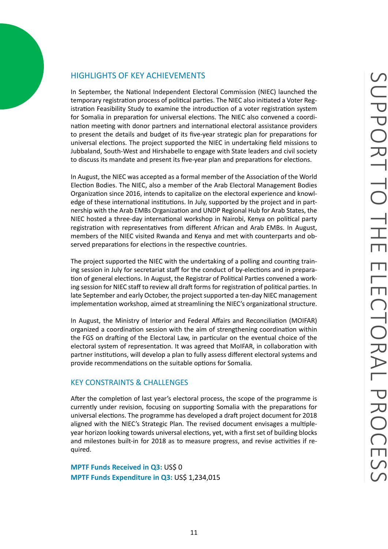<span id="page-10-0"></span>In September, the National Independent Electoral Commission (NIEC) launched the temporary registration process of political parties. The NIEC also initiated a Voter Registration Feasibility Study to examine the introduction of a voter registration system for Somalia in preparation for universal elections. The NIEC also convened a coordination meeting with donor partners and international electoral assistance providers to present the details and budget of its five-year strategic plan for preparations for universal elections. The project supported the NIEC in undertaking field missions to Jubbaland, South-West and Hirshabelle to engage with State leaders and civil society to discuss its mandate and present its five-year plan and preparations for elections.

In August, the NIEC was accepted as a formal member of the Association of the World Election Bodies. The NIEC, also a member of the Arab Electoral Management Bodies Organization since 2016, intends to capitalize on the electoral experience and knowledge of these international institutions. In July, supported by the project and in partnership with the Arab EMBs Organization and UNDP Regional Hub for Arab States, the NIEC hosted a three-day international workshop in Nairobi, Kenya on political party registration with representatives from different African and Arab EMBs. In August, members of the NIEC visited Rwanda and Kenya and met with counterparts and observed preparations for elections in the respective countries.

The project supported the NIEC with the undertaking of a polling and counting training session in July for secretariat staff for the conduct of by-elections and in preparation of general elections. In August, the Registrar of Political Parties convened a working session for NIEC staff to review all draft forms for registration of political parties. In late September and early October, the project supported a ten-day NIEC management implementation workshop, aimed at streamlining the NIEC's organizational structure.

In August, the Ministry of Interior and Federal Affairs and Reconciliation (MOIFAR) organized a coordination session with the aim of strengthening coordination within the FGS on drafting of the Electoral Law, in particular on the eventual choice of the electoral system of representation. It was agreed that MoIFAR, in collaboration with partner institutions, will develop a plan to fully assess different electoral systems and provide recommendations on the suitable options for Somalia.

### KEY CONSTRAINTS & CHALLENGES

After the completion of last year's electoral process, the scope of the programme is currently under revision, focusing on supporting Somalia with the preparations for universal elections. The programme has developed a draft project document for 2018 aligned with the NIEC's Strategic Plan. The revised document envisages a multipleyear horizon looking towards universal elections, yet, with a first set of building blocks and milestones built-in for 2018 as to measure progress, and revise activities if required.

**MPTF Funds Received in Q3: US\$ 0 MPTF Funds Expenditure in Q3:** US\$ 1,234,015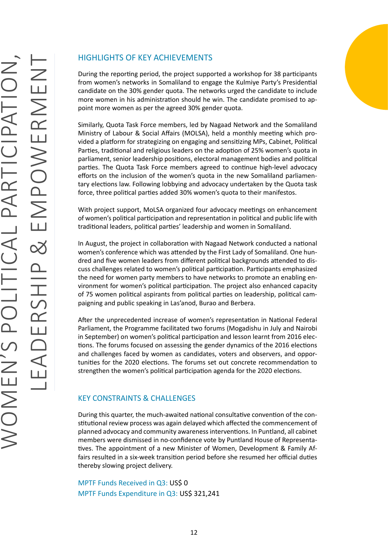<span id="page-11-0"></span>During the reporting period, the project supported a workshop for 38 participants from women's networks in Somaliland to engage the Kulmiye Party's Presidential candidate on the 30% gender quota. The networks urged the candidate to include more women in his administration should he win. The candidate promised to appoint more women as per the agreed 30% gender quota.

Similarly, Quota Task Force members, led by Nagaad Network and the Somaliland Ministry of Labour & Social Affairs (MOLSA), held a monthly meeting which provided a platform for strategizing on engaging and sensitizing MPs, Cabinet, Political Parties, traditional and religious leaders on the adoption of 25% women's quota in parliament, senior leadership positions, electoral management bodies and political parties. The Quota Task Force members agreed to continue high-level advocacy efforts on the inclusion of the women's quota in the new Somaliland parliamentary elections law. Following lobbying and advocacy undertaken by the Quota task force, three political parties added 30% women's quota to their manifestos.

With project support, MoLSA organized four advocacy meetings on enhancement of women's political participation and representation in political and public life with traditional leaders, political parties' leadership and women in Somaliland.

In August, the project in collaboration with Nagaad Network conducted a national women's conference which was attended by the First Lady of Somaliland. One hundred and five women leaders from different political backgrounds attended to discuss challenges related to women's political participation. Participants emphasized the need for women party members to have networks to promote an enabling environment for women's political participation. The project also enhanced capacity of 75 women political aspirants from political parties on leadership, political campaigning and public speaking in Las'anod, Burao and Berbera.

After the unprecedented increase of women's representation in National Federal Parliament, the Programme facilitated two forums (Mogadishu in July and Nairobi in September) on women's political participation and lesson learnt from 2016 elections. The forums focused on assessing the gender dynamics of the 2016 elections and challenges faced by women as candidates, voters and observers, and opportunities for the 2020 elections. The forums set out concrete recommendation to strengthen the women's political participation agenda for the 2020 elections.

### KEY CONSTRAINTS & CHALLENGES

During this quarter, the much-awaited national consultative convention of the constitutional review process was again delayed which affected the commencement of planned advocacy and community awareness interventions. In Puntland, all cabinet members were dismissed in no-confidence vote by Puntland House of Representatives. The appointment of a new Minister of Women, Development & Family Affairs resulted in a six-week transition period before she resumed her official duties thereby slowing project delivery.

MPTF Funds Received in Q3: US\$ 0 MPTF Funds Expenditure in Q3: US\$ 321,241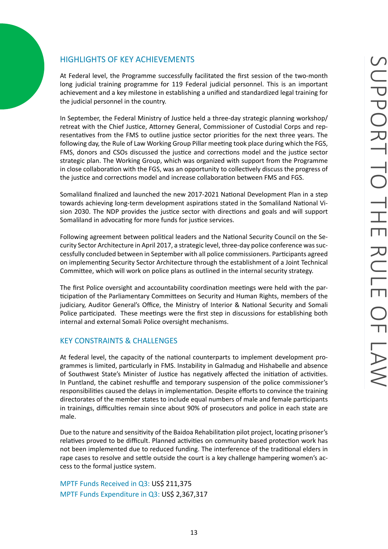<span id="page-12-0"></span>At Federal level, the Programme successfully facilitated the first session of the two-month long judicial training programme for 119 Federal judicial personnel. This is an important achievement and a key milestone in establishing a unified and standardized legal training for the judicial personnel in the country.

In September, the Federal Ministry of Justice held a three-day strategic planning workshop/ retreat with the Chief Justice, Attorney General, Commissioner of Custodial Corps and representatives from the FMS to outline justice sector priorities for the next three years. The following day, the Rule of Law Working Group Pillar meeting took place during which the FGS, FMS, donors and CSOs discussed the justice and corrections model and the justice sector strategic plan. The Working Group, which was organized with support from the Programme in close collaboration with the FGS, was an opportunity to collectively discuss the progress of the justice and corrections model and increase collaboration between FMS and FGS.

Somaliland finalized and launched the new 2017-2021 National Development Plan in a step towards achieving long-term development aspirations stated in the Somaliland National Vision 2030. The NDP provides the justice sector with directions and goals and will support Somaliland in advocating for more funds for justice services.

Following agreement between political leaders and the National Security Council on the Security Sector Architecture in April 2017, a strategic level, three-day police conference was successfully concluded between in September with all police commissioners. Participants agreed on implementing Security Sector Architecture through the establishment of a Joint Technical Committee, which will work on police plans as outlined in the internal security strategy.

The first Police oversight and accountability coordination meetings were held with the participation of the Parliamentary Committees on Security and Human Rights, members of the judiciary, Auditor General's Office, the Ministry of Interior & National Security and Somali Police participated. These meetings were the first step in discussions for establishing both internal and external Somali Police oversight mechanisms.

### KEY CONSTRAINTS & CHALLENGES

At federal level, the capacity of the national counterparts to implement development programmes is limited, particularly in FMS. Instability in Galmadug and Hishabelle and absence of Southwest State's Minister of Justice has negatively affected the initiation of activities. In Puntland, the cabinet reshuffle and temporary suspension of the police commissioner's responsibilities caused the delays in implementation. Despite efforts to convince the training directorates of the member states to include equal numbers of male and female participants in trainings, difficulties remain since about 90% of prosecutors and police in each state are male.

Due to the nature and sensitivity of the Baidoa Rehabilitation pilot project, locating prisoner's relatives proved to be difficult. Planned activities on community based protection work has not been implemented due to reduced funding. The interference of the traditional elders in rape cases to resolve and settle outside the court is a key challenge hampering women's access to the formal justice system.

MPTF Funds Received in Q3: US\$ 211,375 MPTF Funds Expenditure in Q3: US\$ 2,367,317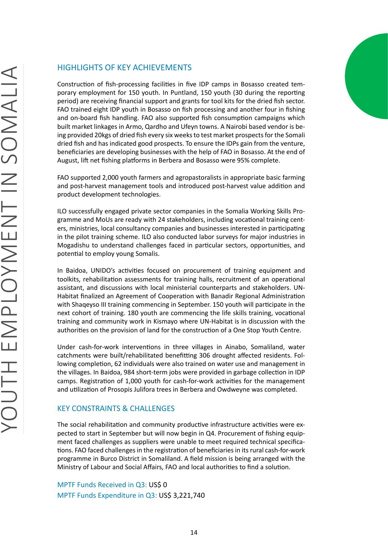<span id="page-13-0"></span>Construction of fish-processing facilities in five IDP camps in Bosasso created temporary employment for 150 youth. In Puntland, 150 youth (30 during the reporting period) are receiving financial support and grants for tool kits for the dried fish sector. FAO trained eight IDP youth in Bosasso on fish processing and another four in fishing and on-board fish handling. FAO also supported fish consumption campaigns which built market linkages in Armo, Qardho and Ufeyn towns. A Nairobi based vendor is being provided 20kgs of dried fish every six weeks to test market prospects for the Somali dried fish and has indicated good prospects. To ensure the IDPs gain from the venture, beneficiaries are developing businesses with the help of FAO in Bosasso. At the end of August, lift net fishing platforms in Berbera and Bosasso were 95% complete.

FAO supported 2,000 youth farmers and agropastoralists in appropriate basic farming and post-harvest management tools and introduced post-harvest value addition and product development technologies.

ILO successfully engaged private sector companies in the Somalia Working Skills Programme and MoUs are ready with 24 stakeholders, including vocational training centers, ministries, local consultancy companies and businesses interested in participating in the pilot training scheme. ILO also conducted labor surveys for major industries in Mogadishu to understand challenges faced in particular sectors, opportunities, and potential to employ young Somalis.

In Baidoa, UNIDO's activities focused on procurement of training equipment and toolkits, rehabilitation assessments for training halls, recruitment of an operational assistant, and discussions with local ministerial counterparts and stakeholders. UN-Habitat finalized an Agreement of Cooperation with Banadir Regional Administration with Shaqeyso III training commencing in September. 150 youth will participate in the next cohort of training. 180 youth are commencing the life skills training, vocational training and community work in Kismayo where UN-Habitat is in discussion with the authorities on the provision of land for the construction of a One Stop Youth Centre.

Under cash-for-work interventions in three villages in Ainabo, Somaliland, water catchments were built/rehabilitated benefitting 306 drought affected residents. Following completion, 62 individuals were also trained on water use and management in the villages. In Baidoa, 984 short-term jobs were provided in garbage collection in IDP camps. Registration of 1,000 youth for cash-for-work activities for the management and utilization of Prosopis Julifora trees in Berbera and Owdweyne was completed.

### KEY CONSTRAINTS & CHALLENGES

The social rehabilitation and community productive infrastructure activities were expected to start in September but will now begin in Q4. Procurement of fishing equipment faced challenges as suppliers were unable to meet required technical specifications. FAO faced challenges in the registration of beneficiaries in its rural cash-for-work programme in Burco District in Somaliland. A field mission is being arranged with the Ministry of Labour and Social Affairs, FAO and local authorities to find a solution.

MPTF Funds Received in Q3: US\$ 0 MPTF Funds Expenditure in Q3: US\$ 3,221,740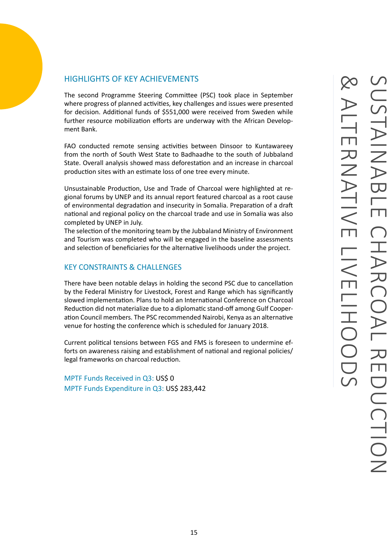<span id="page-14-0"></span>The second Programme Steering Committee (PSC) took place in September where progress of planned activities, key challenges and issues were presented for decision. Additional funds of \$551,000 were received from Sweden while further resource mobilization efforts are underway with the African Development Bank.

FAO conducted remote sensing activities between Dinsoor to Kuntawareey from the north of South West State to Badhaadhe to the south of Jubbaland State. Overall analysis showed mass deforestation and an increase in charcoal production sites with an estimate loss of one tree every minute.

Unsustainable Production, Use and Trade of Charcoal were highlighted at regional forums by UNEP and its annual report featured charcoal as a root cause of environmental degradation and insecurity in Somalia. Preparation of a draft national and regional policy on the charcoal trade and use in Somalia was also completed by UNEP in July.

The selection of the monitoring team by the Jubbaland Ministry of Environment and Tourism was completed who will be engaged in the baseline assessments and selection of beneficiaries for the alternative livelihoods under the project.

### KEY CONSTRAINTS & CHALLENGES

There have been notable delays in holding the second PSC due to cancellation by the Federal Ministry for Livestock, Forest and Range which has significantly slowed implementation. Plans to hold an International Conference on Charcoal Reduction did not materialize due to a diplomatic stand-off among Gulf Cooperation Council members. The PSC recommended Nairobi, Kenya as an alternative venue for hosting the conference which is scheduled for January 2018.

Current political tensions between FGS and FMS is foreseen to undermine efforts on awareness raising and establishment of national and regional policies/ legal frameworks on charcoal reduction.

MPTF Funds Received in Q3: US\$ 0 MPTF Funds Expenditure in Q3: US\$ 283,442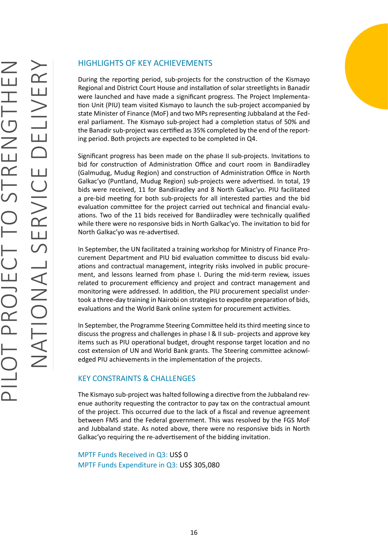<span id="page-15-0"></span>During the reporting period, sub-projects for the construction of the Kismayo Regional and District Court House and installation of solar streetlights in Banadir were launched and have made a significant progress. The Project Implementation Unit (PIU) team visited Kismayo to launch the sub-project accompanied by state Minister of Finance (MoF) and two MPs representing Jubbaland at the Federal parliament. The Kismayo sub-project had a completion status of 50% and the Banadir sub-project was certified as 35% completed by the end of the reporting period. Both projects are expected to be completed in Q4.

Significant progress has been made on the phase II sub-projects. Invitations to bid for construction of Administration Office and court room in Bandiiradley (Galmudug, Mudug Region) and construction of Administration Office in North Galkac'yo (Puntland, Mudug Region) sub-projects were advertised. In total, 19 bids were received, 11 for Bandiiradley and 8 North Galkac'yo. PIU facilitated a pre-bid meeting for both sub-projects for all interested parties and the bid evaluation committee for the project carried out technical and financial evaluations. Two of the 11 bids received for Bandiiradley were technically qualified while there were no responsive bids in North Galkac'yo. The invitation to bid for North Galkac'yo was re-advertised.

In September, the UN facilitated a training workshop for Ministry of Finance Procurement Department and PIU bid evaluation committee to discuss bid evaluations and contractual management, integrity risks involved in public procurement, and lessons learned from phase I. During the mid-term review, issues related to procurement efficiency and project and contract management and monitoring were addressed. In addition, the PIU procurement specialist undertook a three-day training in Nairobi on strategies to expedite preparation of bids, evaluations and the World Bank online system for procurement activities.

In September, the Programme Steering Committee held its third meeting since to discuss the progress and challenges in phase I & II sub- projects and approve key items such as PIU operational budget, drought response target location and no cost extension of UN and World Bank grants. The Steering committee acknowledged PIU achievements in the implementation of the projects.

### KEY CONSTRAINTS & CHALLENGES

The Kismayo sub-project was halted following a directive from the Jubbaland revenue authority requesting the contractor to pay tax on the contractual amount of the project. This occurred due to the lack of a fiscal and revenue agreement between FMS and the Federal government. This was resolved by the FGS MoF and Jubbaland state. As noted above, there were no responsive bids in North Galkac'yo requiring the re-advertisement of the bidding invitation.

MPTF Funds Received in Q3: US\$ 0 MPTF Funds Expenditure in Q3: US\$ 305,080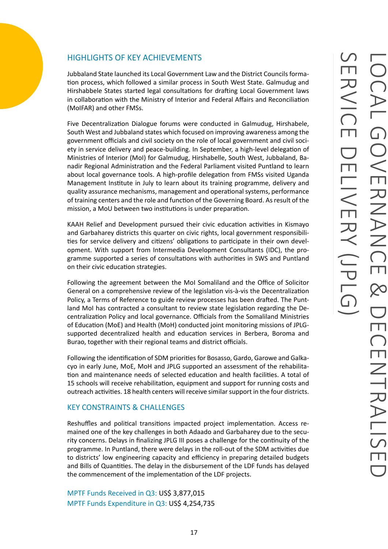<span id="page-16-0"></span>Jubbaland State launched its Local Government Law and the District Councils formation process, which followed a similar process in South West State. Galmudug and Hirshabbele States started legal consultations for drafting Local Government laws in collaboration with the Ministry of Interior and Federal Affairs and Reconciliation (MoIFAR) and other FMSs.

Five Decentralization Dialogue forums were conducted in Galmudug, Hirshabele, South West and Jubbaland states which focused on improving awareness among the government officials and civil society on the role of local government and civil society in service delivery and peace-building. In September, a high-level delegation of Ministries of Interior (MoI) for Galmudug, Hirshabelle, South West, Jubbaland, Banadir Regional Administration and the Federal Parliament visited Puntland to learn about local governance tools. A high-profile delegation from FMSs visited Uganda Management Institute in July to learn about its training programme, delivery and quality assurance mechanisms, management and operational systems, performance of training centers and the role and function of the Governing Board. As result of the mission, a MoU between two institutions is under preparation.

KAAH Relief and Development pursued their civic education activities in Kismayo and Garbaharey districts this quarter on civic rights, local government responsibilities for service delivery and citizens' obligations to participate in their own development. With support from Intermedia Development Consultants (IDC), the programme supported a series of consultations with authorities in SWS and Puntland on their civic education strategies.

Following the agreement between the MoI Somaliland and the Office of Solicitor General on a comprehensive review of the legislation vis-à-vis the Decentralization Policy, a Terms of Reference to guide review processes has been drafted. The Puntland MoI has contracted a consultant to review state legislation regarding the Decentralization Policy and local governance. Officials from the Somaliland Ministries of Education (MoE) and Health (MoH) conducted joint monitoring missions of JPLGsupported decentralized health and education services in Berbera, Boroma and Burao, together with their regional teams and district officials.

Following the identification of SDM priorities for Bosasso, Gardo, Garowe and Galkacyo in early June, MoE, MoH and JPLG supported an assessment of the rehabilitation and maintenance needs of selected education and health facilities. A total of 15 schools will receive rehabilitation, equipment and support for running costs and outreach activities. 18 health centers will receive similar support in the four districts.

### KEY CONSTRAINTS & CHALLENGES

Reshuffles and political transitions impacted project implementation. Access remained one of the key challenges in both Adaado and Garbaharey due to the security concerns. Delays in finalizing JPLG III poses a challenge for the continuity of the programme. In Puntland, there were delays in the roll-out of the SDM activities due to districts' low engineering capacity and efficiency in preparing detailed budgets and Bills of Quantities. The delay in the disbursement of the LDF funds has delayed the commencement of the implementation of the LDF projects.

MPTF Funds Received in Q3: US\$ 3,877,015 MPTF Funds Expenditure in Q3: US\$ 4,254,735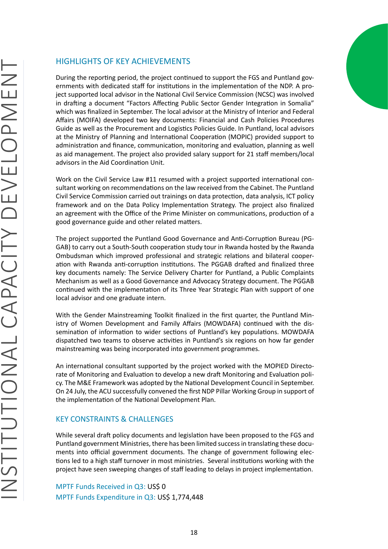<span id="page-17-0"></span>During the reporting period, the project continued to support the FGS and Puntland governments with dedicated staff for institutions in the implementation of the NDP. A project supported local advisor in the National Civil Service Commission (NCSC) was involved in drafting a document "Factors Affecting Public Sector Gender Integration in Somalia" which was finalized in September. The local advisor at the Ministry of Interior and Federal Affairs (MOIFA) developed two key documents: Financial and Cash Policies Procedures Guide as well as the Procurement and Logistics Policies Guide. In Puntland, local advisors at the Ministry of Planning and International Cooperation (MOPIC) provided support to administration and finance, communication, monitoring and evaluation, planning as well as aid management. The project also provided salary support for 21 staff members/local advisors in the Aid Coordination Unit.

Work on the Civil Service Law #11 resumed with a project supported international consultant working on recommendations on the law received from the Cabinet. The Puntland Civil Service Commission carried out trainings on data protection, data analysis, ICT policy framework and on the Data Policy Implementation Strategy. The project also finalized an agreement with the Office of the Prime Minister on communications, production of a good governance guide and other related matters.

The project supported the Puntland Good Governance and Anti-Corruption Bureau (PG-GAB) to carry out a South-South cooperation study tour in Rwanda hosted by the Rwanda Ombudsman which improved professional and strategic relations and bilateral cooperation with Rwanda anti-corruption institutions. The PGGAB drafted and finalized three key documents namely: The Service Delivery Charter for Puntland, a Public Complaints Mechanism as well as a Good Governance and Advocacy Strategy document. The PGGAB continued with the implementation of its Three Year Strategic Plan with support of one local advisor and one graduate intern.

With the Gender Mainstreaming Toolkit finalized in the first quarter, the Puntland Ministry of Women Development and Family Affairs (MOWDAFA) continued with the dissemination of information to wider sections of Puntland's key populations. MOWDAFA dispatched two teams to observe activities in Puntland's six regions on how far gender mainstreaming was being incorporated into government programmes.

An international consultant supported by the project worked with the MOPIED Directorate of Monitoring and Evaluation to develop a new draft Monitoring and Evaluation policy. The M&E Framework was adopted by the National Development Council in September. On 24 July, the ACU successfully convened the first NDP Pillar Working Group in support of the implementation of the National Development Plan.

### KEY CONSTRAINTS & CHALLENGES

While several draft policy documents and legislation have been proposed to the FGS and Puntland government Ministries, there has been limited success in translating these documents into official government documents. The change of government following elections led to a high staff turnover in most ministries. Several institutions working with the project have seen sweeping changes of staff leading to delays in project implementation.

MPTF Funds Received in Q3: US\$ 0 MPTF Funds Expenditure in Q3: US\$ 1,774,448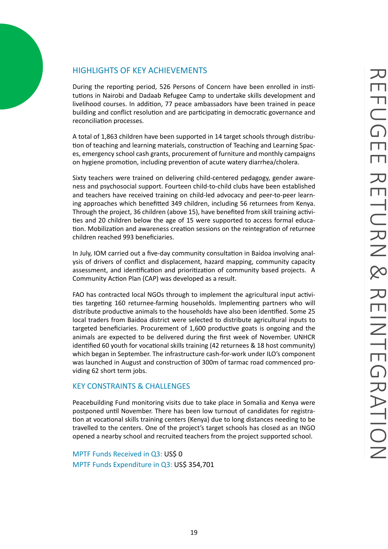<span id="page-18-0"></span>During the reporting period, 526 Persons of Concern have been enrolled in institutions in Nairobi and Dadaab Refugee Camp to undertake skills development and livelihood courses. In addition, 77 peace ambassadors have been trained in peace building and conflict resolution and are participating in democratic governance and reconciliation processes.

A total of 1,863 children have been supported in 14 target schools through distribution of teaching and learning materials, construction of Teaching and Learning Spaces, emergency school cash grants, procurement of furniture and monthly campaigns on hygiene promotion, including prevention of acute watery diarrhea/cholera.

Sixty teachers were trained on delivering child-centered pedagogy, gender awareness and psychosocial support. Fourteen child-to-child clubs have been established and teachers have received training on child-led advocacy and peer-to-peer learning approaches which benefitted 349 children, including 56 returnees from Kenya. Through the project, 36 children (above 15), have benefited from skill training activities and 20 children below the age of 15 were supported to access formal education. Mobilization and awareness creation sessions on the reintegration of returnee children reached 993 beneficiaries.

In July, IOM carried out a five-day community consultation in Baidoa involving analysis of drivers of conflict and displacement, hazard mapping, community capacity assessment, and identification and prioritization of community based projects. A Community Action Plan (CAP) was developed as a result.

FAO has contracted local NGOs through to implement the agricultural input activities targeting 160 returnee-farming households. Implementing partners who will distribute productive animals to the households have also been identified. Some 25 local traders from Baidoa district were selected to distribute agricultural inputs to targeted beneficiaries. Procurement of 1,600 productive goats is ongoing and the animals are expected to be delivered during the first week of November. UNHCR identified 60 youth for vocational skills training (42 returnees & 18 host community) which began in September. The infrastructure cash-for-work under ILO's component was launched in August and construction of 300m of tarmac road commenced providing 62 short term jobs.

### KEY CONSTRAINTS & CHALLENGES

Peacebuilding Fund monitoring visits due to take place in Somalia and Kenya were postponed until November. There has been low turnout of candidates for registration at vocational skills training centers (Kenya) due to long distances needing to be travelled to the centers. One of the project's target schools has closed as an INGO opened a nearby school and recruited teachers from the project supported school.

MPTF Funds Received in Q3: US\$ 0 MPTF Funds Expenditure in Q3: US\$ 354,701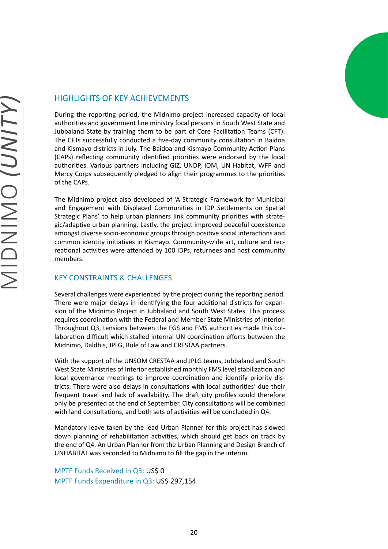

<span id="page-19-0"></span>During the reporting period, the Midnimo project increased capacity of local authorities and government line ministry focal persons in South West State and Jubbaland State by training them to be part of Core Facilitation Teams (CFT). The CFTs successfully conducted a five-day community consultation in Baidoa and Kismayo districts in July. The Baidoa and Kismayo Community Action Plans (CAPs) reflecting community identified priorities were endorsed by the local authorities. Various partners including GIZ, UNDP, IOM, UN Habitat, WFP and Mercy Corps subsequently pledged to align their programmes to the priorities of the CAPs.

The Midnimo project also developed of 'A Strategic Framework for Municipal and Engagement with Displaced Communities in IDP Settlements on Spatial Strategic Plans' to help urban planners link community priorities with strategic/adaptive urban planning. Lastly, the project improved peaceful coexistence amongst diverse socio-economic groups through positive social interactions and common identity initiatives in Kismayo. Community-wide art, culture and recreational activities were attended by 100 IDPs, returnees and host community members.

### KEY CONSTRAINTS & CHALLENGES

Several challenges were experienced by the project during the reporting period. There were major delays in identifying the four additional districts for expansion of the Midnimo Project in Jubbaland and South West States. This process requires coordination with the Federal and Member State Ministries of Interior. Throughout Q3, tensions between the FGS and FMS authorities made this collaboration difficult which stalled internal UN coordination efforts between the Midnimo, Daldhis, JPLG, Rule of Law and CRESTAA partners.

With the support of the UNSOM CRESTAA and JPLG teams, Jubbaland and South West State Ministries of Interior established monthly FMS level stabilization and local governance meetings to improve coordination and identify priority districts. There were also delays in consultations with local authorities' due their frequent travel and lack of availability. The draft city profiles could therefore only be presented at the end of September. City consultations will be combined with land consultations, and both sets of activities will be concluded in Q4.

Mandatory leave taken by the lead Urban Planner for this project has slowed down planning of rehabilitation activities, which should get back on track by the end of Q4. An Urban Planner from the Urban Planning and Design Branch of UNHABITAT was seconded to Midnimo to fill the gap in the interim.

MPTF Funds Received in Q3: US\$ 0 MPTF Funds Expenditure in Q3: US\$ 297,154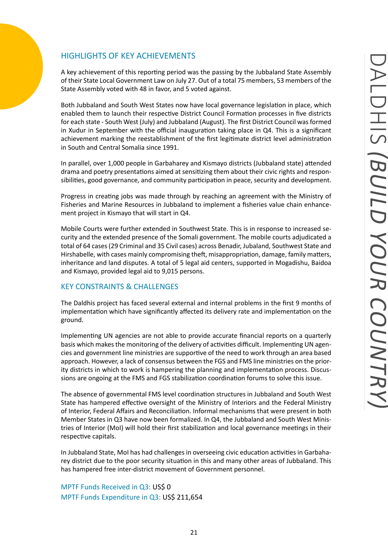<span id="page-20-0"></span>A key achievement of this reporting period was the passing by the Jubbaland State Assembly of their State Local Government Law on July 27. Out of a total 75 members, 53 members of the State Assembly voted with 48 in favor, and 5 voted against.

Both Jubbaland and South West States now have local governance legislation in place, which enabled them to launch their respective District Council Formation processes in five districts for each state - South West (July) and Jubbaland (August). The first District Council was formed in Xudur in September with the official inauguration taking place in Q4. This is a significant achievement marking the reestablishment of the first legitimate district level administration in South and Central Somalia since 1991.

In parallel, over 1,000 people in Garbaharey and Kismayo districts (Jubbaland state) attended drama and poetry presentations aimed at sensitizing them about their civic rights and responsibilities, good governance, and community participation in peace, security and development.

Progress in creating jobs was made through by reaching an agreement with the Ministry of Fisheries and Marine Resources in Jubbaland to implement a fisheries value chain enhancement project in Kismayo that will start in Q4.

Mobile Courts were further extended in Southwest State. This is in response to increased security and the extended presence of the Somali government. The mobile courts adjudicated a total of 64 cases (29 Criminal and 35 Civil cases) across Benadir, Jubaland, Southwest State and Hirshabelle, with cases mainly compromising theft, misappropriation, damage, family matters, inheritance and land disputes. A total of 5 legal aid centers, supported in Mogadishu, Baidoa and Kismayo, provided legal aid to 9,015 persons.

### KEY CONSTRAINTS & CHALLENGES

The Daldhis project has faced several external and internal problems in the first 9 months of implementation which have significantly affected its delivery rate and implementation on the ground.

Implementing UN agencies are not able to provide accurate financial reports on a quarterly basis which makes the monitoring of the delivery of activities difficult. Implementing UN agencies and government line ministries are supportive of the need to work through an area based approach. However, a lack of consensus between the FGS and FMS line ministries on the priority districts in which to work is hampering the planning and implementation process. Discussions are ongoing at the FMS and FGS stabilization coordination forums to solve this issue.

The absence of governmental FMS level coordination structures in Jubbaland and South West State has hampered effective oversight of the Ministry of Interiors and the Federal Ministry of Interior, Federal Affairs and Reconciliation. Informal mechanisms that were present in both Member States in Q3 have now been formalized. In Q4, the Jubbaland and South West Ministries of Interior (MoI) will hold their first stabilization and local governance meetings in their respective capitals.

In Jubbaland State, MoI has had challenges in overseeing civic education activities in Garbaharey district due to the poor security situation in this and many other areas of Jubbaland. This has hampered free inter-district movement of Government personnel.

MPTF Funds Received in Q3: US\$ 0 MPTF Funds Expenditure in Q3: US\$ 211,654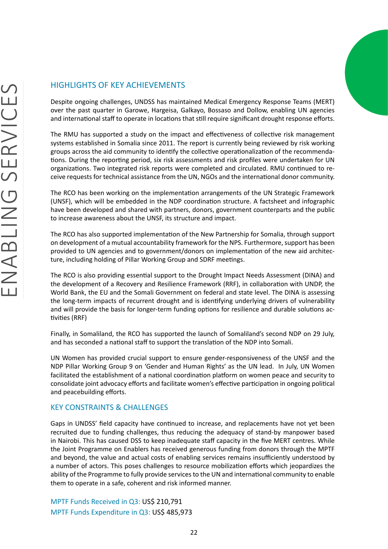<span id="page-21-0"></span>Despite ongoing challenges, UNDSS has maintained Medical Emergency Response Teams (MERT) over the past quarter in Garowe, Hargeisa, Galkayo, Bossaso and Dollow, enabling UN agencies and international staff to operate in locations that still require significant drought response efforts.

The RMU has supported a study on the impact and effectiveness of collective risk management systems established in Somalia since 2011. The report is currently being reviewed by risk working groups across the aid community to identify the collective operationalization of the recommendations. During the reporting period, six risk assessments and risk profiles were undertaken for UN organizations. Two integrated risk reports were completed and circulated. RMU continued to receive requests for technical assistance from the UN, NGOs and the international donor community.

The RCO has been working on the implementation arrangements of the UN Strategic Framework (UNSF), which will be embedded in the NDP coordination structure. A factsheet and infographic have been developed and shared with partners, donors, government counterparts and the public to increase awareness about the UNSF, its structure and impact.

The RCO has also supported implementation of the New Partnership for Somalia, through support on development of a mutual accountability framework for the NPS. Furthermore, support has been provided to UN agencies and to government/donors on implementation of the new aid architecture, including holding of Pillar Working Group and SDRF meetings.

The RCO is also providing essential support to the Drought Impact Needs Assessment (DINA) and the development of a Recovery and Resilience Framework (RRF), in collaboration with UNDP, the World Bank, the EU and the Somali Government on federal and state level. The DINA is assessing the long-term impacts of recurrent drought and is identifying underlying drivers of vulnerability and will provide the basis for longer-term funding options for resilience and durable solutions activities (RRF)

Finally, in Somaliland, the RCO has supported the launch of Somaliland's second NDP on 29 July, and has seconded a national staff to support the translation of the NDP into Somali.

UN Women has provided crucial support to ensure gender-responsiveness of the UNSF and the NDP Pillar Working Group 9 on 'Gender and Human Rights' as the UN lead. In July, UN Women facilitated the establishment of a national coordination platform on women peace and security to consolidate joint advocacy efforts and facilitate women's effective participation in ongoing political and peacebuilding efforts.

### KEY CONSTRAINTS & CHALLENGES

Gaps in UNDSS' field capacity have continued to increase, and replacements have not yet been recruited due to funding challenges, thus reducing the adequacy of stand-by manpower based in Nairobi. This has caused DSS to keep inadequate staff capacity in the five MERT centres. While the Joint Programme on Enablers has received generous funding from donors through the MPTF and beyond, the value and actual costs of enabling services remains insufficiently understood by a number of actors. This poses challenges to resource mobilization efforts which jeopardizes the ability of the Programme to fully provide services to the UN and international community to enable them to operate in a safe, coherent and risk informed manner.

MPTF Funds Received in Q3: US\$ 210,791 MPTF Funds Expenditure in Q3: US\$ 485,973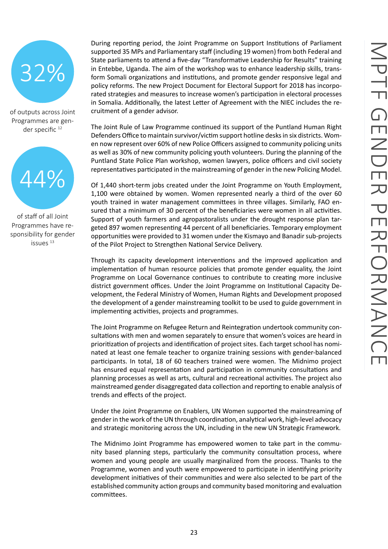<span id="page-22-0"></span>

of outputs across Joint Programmes are gender specific<sup>12</sup>



of staff of all Joint Programmes have responsibility for gender issues<sup>13</sup>

During reporting period, the Joint Programme on Support Institutions of Parliament supported 35 MPs and Parliamentary staff (including 19 women) from both Federal and State parliaments to attend a five-day "Transformative Leadership for Results" training in Entebbe, Uganda. The aim of the workshop was to enhance leadership skills, transform Somali organizations and institutions, and promote gender responsive legal and policy reforms. The new Project Document for Electoral Support for 2018 has incorporated strategies and measures to increase women's participation in electoral processes in Somalia. Additionally, the latest Letter of Agreement with the NIEC includes the recruitment of a gender advisor.

The Joint Rule of Law Programme continued its support of the Puntland Human Right Defenders Office to maintain survivor/victim support hotline desks in six districts. Women now represent over 60% of new Police Officers assigned to community policing units as well as 30% of new community policing youth volunteers. During the planning of the Puntland State Police Plan workshop, women lawyers, police officers and civil society representatives participated in the mainstreaming of gender in the new Policing Model.

Of 1,440 short-term jobs created under the Joint Programme on Youth Employment, 1,100 were obtained by women. Women represented nearly a third of the over 60 youth trained in water management committees in three villages. Similarly, FAO ensured that a minimum of 30 percent of the beneficiaries were women in all activities. Support of youth farmers and agropastoralists under the drought response plan targeted 897 women representing 44 percent of all beneficiaries. Temporary employment opportunities were provided to 31 women under the Kismayo and Banadir sub-projects of the Pilot Project to Strengthen National Service Delivery.

Through its capacity development interventions and the improved application and implementation of human resource policies that promote gender equality, the Joint Programme on Local Governance continues to contribute to creating more inclusive district government offices. Under the Joint Programme on Institutional Capacity Development, the Federal Ministry of Women, Human Rights and Development proposed the development of a gender mainstreaming toolkit to be used to guide government in implementing activities, projects and programmes.

The Joint Programme on Refugee Return and Reintegration undertook community consultations with men and women separately to ensure that women's voices are heard in prioritization of projects and identification of project sites. Each target school has nominated at least one female teacher to organize training sessions with gender-balanced participants. In total, 18 of 60 teachers trained were women. The Midnimo project has ensured equal representation and participation in community consultations and planning processes as well as arts, cultural and recreational activities. The project also mainstreamed gender disaggregated data collection and reporting to enable analysis of trends and effects of the project.

Under the Joint Programme on Enablers, UN Women supported the mainstreaming of gender in the work of the UN through coordination, analytical work, high-level advocacy and strategic monitoring across the UN, including in the new UN Strategic Framework.

The Midnimo Joint Programme has empowered women to take part in the community based planning steps, particularly the community consultation process, where women and young people are usually marginalized from the process. Thanks to the Programme, women and youth were empowered to participate in identifying priority development initiatives of their communities and were also selected to be part of the established community action groups and community based monitoring and evaluation committees.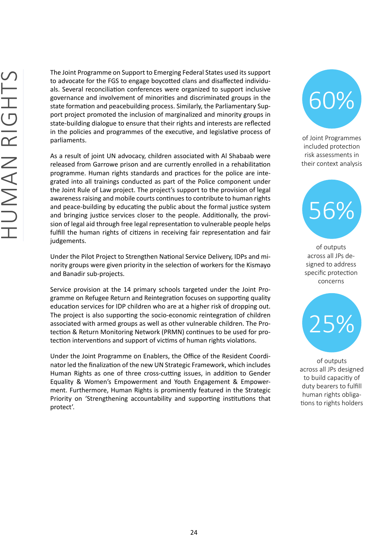<span id="page-23-0"></span>The Joint Programme on Support to Emerging Federal States used its support to advocate for the FGS to engage boycotted clans and disaffected individuals. Several reconciliation conferences were organized to support inclusive governance and involvement of minorities and discriminated groups in the state formation and peacebuilding process. Similarly, the Parliamentary Support project promoted the inclusion of marginalized and minority groups in state-building dialogue to ensure that their rights and interests are reflected in the policies and programmes of the executive, and legislative process of parliaments.

As a result of joint UN advocacy, children associated with Al Shabaab were released from Garrowe prison and are currently enrolled in a rehabilitation programme. Human rights standards and practices for the police are integrated into all trainings conducted as part of the Police component under the Joint Rule of Law project. The project's support to the provision of legal awareness raising and mobile courts continues to contribute to human rights and peace-building by educating the public about the formal justice system and bringing justice services closer to the people. Additionally, the provision of legal aid through free legal representation to vulnerable people helps fulfill the human rights of citizens in receiving fair representation and fair judgements.

Under the Pilot Project to Strengthen National Service Delivery, IDPs and minority groups were given priority in the selection of workers for the Kismayo and Banadir sub-projects.

Service provision at the 14 primary schools targeted under the Joint Programme on Refugee Return and Reintegration focuses on supporting quality education services for IDP children who are at a higher risk of dropping out. The project is also supporting the socio-economic reintegration of children associated with armed groups as well as other vulnerable children. The Protection & Return Monitoring Network (PRMN) continues to be used for protection interventions and support of victims of human rights violations.

Under the Joint Programme on Enablers, the Office of the Resident Coordinator led the finalization of the new UN Strategic Framework, which includes Human Rights as one of three cross-cutting issues, in addition to Gender Equality & Women's Empowerment and Youth Engagement & Empowerment. Furthermore, Human Rights is prominently featured in the Strategic Priority on 'Strengthening accountability and supporting institutions that protect'.



of Joint Programmes included protection risk assessments in their context analysis



of outputs across all JPs designed to address specific protection concerns



of outputs across all JPs designed to build capacitiy of duty bearers to fulfill human rights obligations to rights holders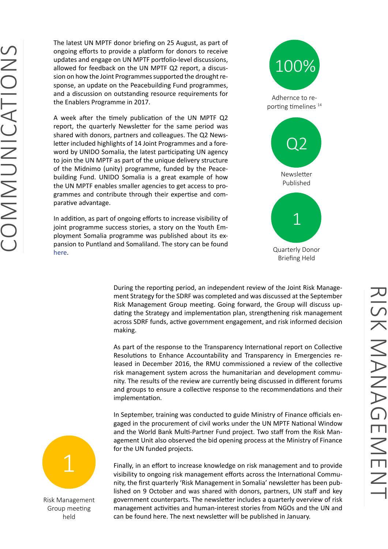<span id="page-24-0"></span>The latest UN MPTF donor briefing on 25 August, as part of ongoing efforts to provide a platform for donors to receive updates and engage on UN MPTF portfolio-level discussions, allowed for feedback on the UN MPTF Q2 report, a discussion on how the Joint Programmes supported the drought response, an update on the Peacebuilding Fund programmes, and a discussion on outstanding resource requirements for the Enablers Programme in 2017.

A week after the timely publication of the UN MPTF Q2 report, the quarterly Newsletter for the same period was shared with donors, partners and colleagues. The Q2 Newsletter included highlights of 14 Joint Programmes and a foreword by UNIDO Somalia, the latest participating UN agency to join the UN MPTF as part of the unique delivery structure of the Midnimo (unity) programme, funded by the Peacebuilding Fund. UNIDO Somalia is a great example of how the UN MPTF enables smaller agencies to get access to programmes and contribute through their expertise and comparative advantage.

In addition, as part of ongoing efforts to increase visibility of joint programme success stories, a story on the Youth Employment Somalia programme was published about its expansion to Puntland and Somaliland. The story can be found [here.](https://www.uninsomalia.org/pros-cal-success-story-1/2017/9/11/latest-achievements-of-the-youth-employment-somalia-joint-programme)



During the reporting period, an independent review of the Joint Risk Management Strategy for the SDRF was completed and was discussed at the September Risk Management Group meeting. Going forward, the Group will discuss updating the Strategy and implementation plan, strengthening risk management across SDRF funds, active government engagement, and risk informed decision making.

As part of the response to the Transparency International report on Collective Resolutions to Enhance Accountability and Transparency in Emergencies released in December 2016, the RMU commissioned a review of the collective risk management system across the humanitarian and development community. The results of the review are currently being discussed in different forums and groups to ensure a collective response to the recommendations and their implementation.

In September, training was conducted to guide Ministry of Finance officials engaged in the procurement of civil works under the UN MPTF National Window and the World Bank Multi-Partner Fund project. Two staff from the Risk Management Unit also observed the bid opening process at the Ministry of Finance for the UN funded projects.



Risk Management Group meeting held

Finally, in an effort to increase knowledge on risk management and to provide visibility to ongoing risk management efforts across the International Community, the first quarterly 'Risk Management in Somalia' newsletter has been published on 9 October and was shared with donors, partners, UN staff and key government counterparts. The newsletter includes a quarterly overview of risk management activities and human-interest stories from NGOs and the UN and can be found here. The next newsletter will be published in January.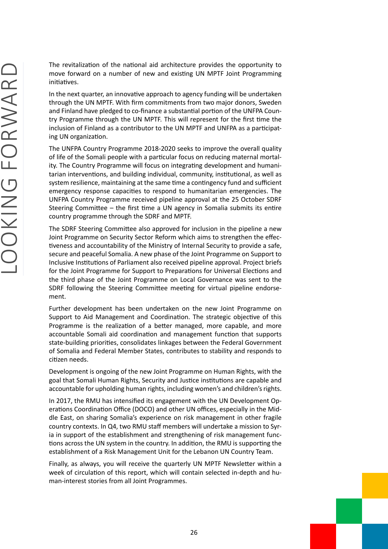<span id="page-25-0"></span>The revitalization of the national aid architecture provides the opportunity to move forward on a number of new and existing UN MPTF Joint Programming initiatives.

In the next quarter, an innovative approach to agency funding will be undertaken through the UN MPTF. With firm commitments from two major donors, Sweden and Finland have pledged to co-finance a substantial portion of the UNFPA Country Programme through the UN MPTF. This will represent for the first time the inclusion of Finland as a contributor to the UN MPTF and UNFPA as a participating UN organization.

The UNFPA Country Programme 2018-2020 seeks to improve the overall quality of life of the Somali people with a particular focus on reducing maternal mortality. The Country Programme will focus on integrating development and humanitarian interventions, and building individual, community, institutional, as well as system resilience, maintaining at the same time a contingency fund and sufficient emergency response capacities to respond to humanitarian emergencies. The UNFPA Country Programme received pipeline approval at the 25 October SDRF Steering Committee – the first time a UN agency in Somalia submits its entire country programme through the SDRF and MPTF.

The SDRF Steering Committee also approved for inclusion in the pipeline a new Joint Programme on Security Sector Reform which aims to strengthen the effectiveness and accountability of the Ministry of Internal Security to provide a safe, secure and peaceful Somalia. A new phase of the Joint Programme on Support to Inclusive Institutions of Parliament also received pipeline approval. Project briefs for the Joint Programme for Support to Preparations for Universal Elections and the third phase of the Joint Programme on Local Governance was sent to the SDRF following the Steering Committee meeting for virtual pipeline endorsement.

Further development has been undertaken on the new Joint Programme on Support to Aid Management and Coordination. The strategic objective of this Programme is the realization of a better managed, more capable, and more accountable Somali aid coordination and management function that supports state-building priorities, consolidates linkages between the Federal Government of Somalia and Federal Member States, contributes to stability and responds to citizen needs.

Development is ongoing of the new Joint Programme on Human Rights, with the goal that Somali Human Rights, Security and Justice institutions are capable and accountable for upholding human rights, including women's and children's rights.

In 2017, the RMU has intensified its engagement with the UN Development Operations Coordination Office (DOCO) and other UN offices, especially in the Middle East, on sharing Somalia's experience on risk management in other fragile country contexts. In Q4, two RMU staff members will undertake a mission to Syria in support of the establishment and strengthening of risk management functions across the UN system in the country. In addition, the RMU is supporting the establishment of a Risk Management Unit for the Lebanon UN Country Team.

Finally, as always, you will receive the quarterly UN MPTF Newsletter within a week of circulation of this report, which will contain selected in-depth and human-interest stories from all Joint Programmes.